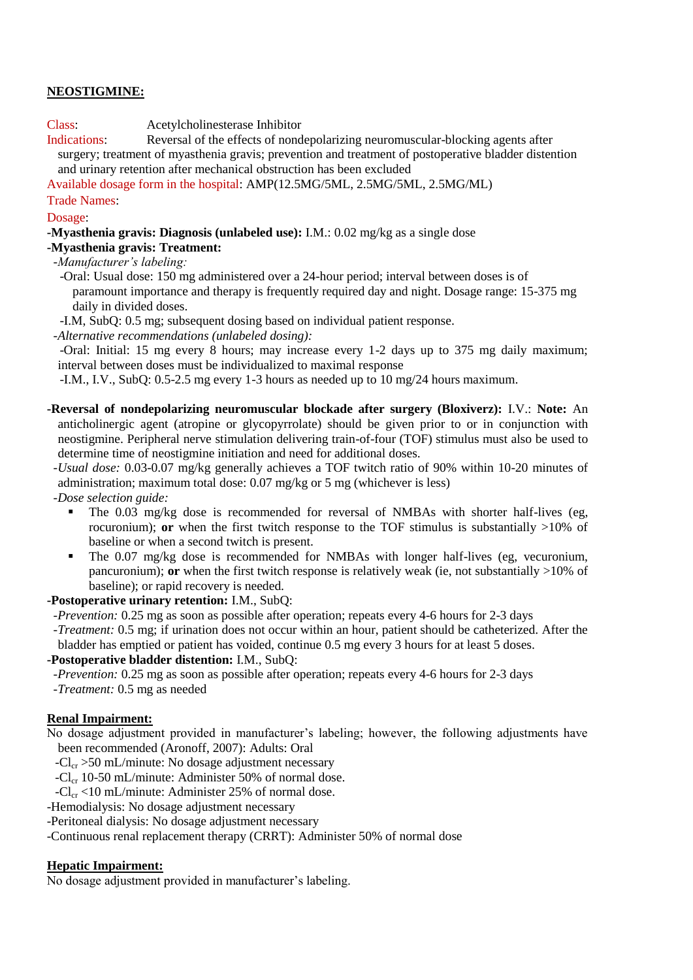# **NEOSTIGMINE:**

### Class: Acetylcholinesterase Inhibitor

Indications: Reversal of the effects of nondepolarizing neuromuscular-blocking agents after surgery; treatment of myasthenia gravis; prevention and treatment of postoperative bladder distention and urinary retention after mechanical obstruction has been excluded

Available dosage form in the hospital: AMP(12.5MG/5ML, 2.5MG/5ML, 2.5MG/ML)

# Trade Names:

#### Dosage:

**-Myasthenia gravis: Diagnosis (unlabeled use):** I.M.: 0.02 mg/kg as a single dose

# **-Myasthenia gravis: Treatment:**

 *-Manufacturer's labeling:*

 -Oral: Usual dose: 150 mg administered over a 24-hour period; interval between doses is of paramount importance and therapy is frequently required day and night. Dosage range: 15-375 mg daily in divided doses.

-I.M, SubQ: 0.5 mg; subsequent dosing based on individual patient response.

 *-Alternative recommendations (unlabeled dosing):*

 -Oral: Initial: 15 mg every 8 hours; may increase every 1-2 days up to 375 mg daily maximum; interval between doses must be individualized to maximal response

-I.M., I.V., SubQ: 0.5-2.5 mg every 1-3 hours as needed up to 10 mg/24 hours maximum.

**-Reversal of nondepolarizing neuromuscular blockade after surgery (Bloxiverz):** I.V.: **Note:** An anticholinergic agent (atropine or glycopyrrolate) should be given prior to or in conjunction with neostigmine. Peripheral nerve stimulation delivering train-of-four (TOF) stimulus must also be used to determine time of neostigmine initiation and need for additional doses.

 *-Usual dose:* 0.03-0.07 mg/kg generally achieves a TOF twitch ratio of 90% within 10-20 minutes of administration; maximum total dose: 0.07 mg/kg or 5 mg (whichever is less)

 *-Dose selection guide:* 

- The 0.03 mg/kg dose is recommended for reversal of NMBAs with shorter half-lives (eg, rocuronium); **or** when the first twitch response to the TOF stimulus is substantially >10% of baseline or when a second twitch is present.
- The 0.07 mg/kg dose is recommended for NMBAs with longer half-lives (eg, vecuronium, pancuronium); **or** when the first twitch response is relatively weak (ie, not substantially >10% of baseline); or rapid recovery is needed.

### **-Postoperative urinary retention:** I.M., SubQ:

- *-Prevention:* 0.25 mg as soon as possible after operation; repeats every 4-6 hours for 2-3 days
- *-Treatment:* 0.5 mg; if urination does not occur within an hour, patient should be catheterized. After the bladder has emptied or patient has voided, continue 0.5 mg every 3 hours for at least 5 doses.

### **-Postoperative bladder distention:** I.M., SubQ:

 *-Prevention:* 0.25 mg as soon as possible after operation; repeats every 4-6 hours for 2-3 days

 *-Treatment:* 0.5 mg as needed

### **Renal Impairment:**

- No dosage adjustment provided in manufacturer's labeling; however, the following adjustments have been recommended (Aronoff, 2007): Adults: Oral
	- $-Cl_{cr} > 50$  mL/minute: No dosage adjustment necessary
	- $-Cl_{cr}$  10-50 mL/minute: Administer 50% of normal dose.

 $-Cl_{cr}$  <10 mL/minute: Administer 25% of normal dose.

-Hemodialysis: No dosage adjustment necessary

-Peritoneal dialysis: No dosage adjustment necessary

-Continuous renal replacement therapy (CRRT): Administer 50% of normal dose

### **Hepatic Impairment:**

No dosage adjustment provided in manufacturer's labeling.